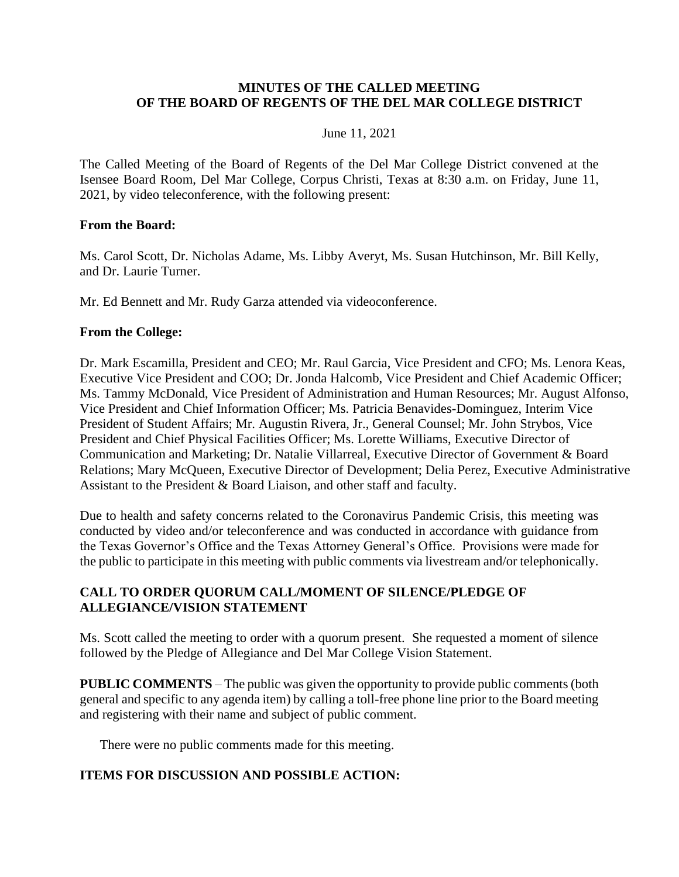### **MINUTES OF THE CALLED MEETING OF THE BOARD OF REGENTS OF THE DEL MAR COLLEGE DISTRICT**

### June 11, 2021

The Called Meeting of the Board of Regents of the Del Mar College District convened at the Isensee Board Room, Del Mar College, Corpus Christi, Texas at 8:30 a.m. on Friday, June 11, 2021, by video teleconference, with the following present:

#### **From the Board:**

Ms. Carol Scott, Dr. Nicholas Adame, Ms. Libby Averyt, Ms. Susan Hutchinson, Mr. Bill Kelly, and Dr. Laurie Turner.

Mr. Ed Bennett and Mr. Rudy Garza attended via videoconference.

#### **From the College:**

Dr. Mark Escamilla, President and CEO; Mr. Raul Garcia, Vice President and CFO; Ms. Lenora Keas, Executive Vice President and COO; Dr. Jonda Halcomb, Vice President and Chief Academic Officer; Ms. Tammy McDonald, Vice President of Administration and Human Resources; Mr. August Alfonso, Vice President and Chief Information Officer; Ms. Patricia Benavides-Dominguez, Interim Vice President of Student Affairs; Mr. Augustin Rivera, Jr., General Counsel; Mr. John Strybos, Vice President and Chief Physical Facilities Officer; Ms. Lorette Williams, Executive Director of Communication and Marketing; Dr. Natalie Villarreal, Executive Director of Government & Board Relations; Mary McQueen, Executive Director of Development; Delia Perez, Executive Administrative Assistant to the President & Board Liaison, and other staff and faculty.

Due to health and safety concerns related to the Coronavirus Pandemic Crisis, this meeting was conducted by video and/or teleconference and was conducted in accordance with guidance from the Texas Governor's Office and the Texas Attorney General's Office. Provisions were made for the public to participate in this meeting with public comments via livestream and/or telephonically.

## **CALL TO ORDER QUORUM CALL/MOMENT OF SILENCE/PLEDGE OF ALLEGIANCE/VISION STATEMENT**

Ms. Scott called the meeting to order with a quorum present. She requested a moment of silence followed by the Pledge of Allegiance and Del Mar College Vision Statement.

**PUBLIC COMMENTS** – The public was given the opportunity to provide public comments (both general and specific to any agenda item) by calling a toll-free phone line prior to the Board meeting and registering with their name and subject of public comment.

There were no public comments made for this meeting.

### **ITEMS FOR DISCUSSION AND POSSIBLE ACTION:**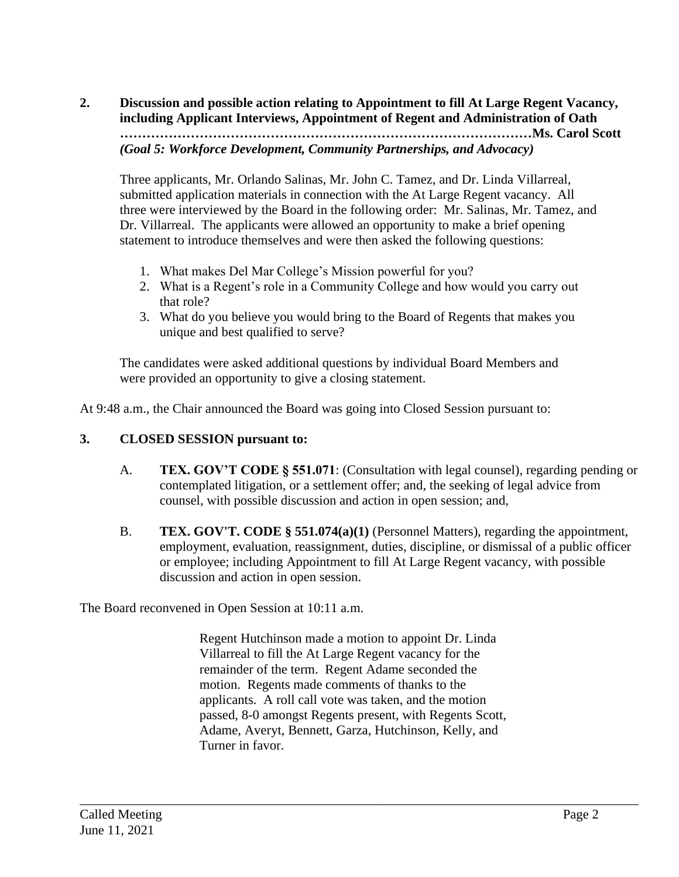# **2. Discussion and possible action relating to Appointment to fill At Large Regent Vacancy, including Applicant Interviews, Appointment of Regent and Administration of Oath …………………………………………………………………………………Ms. Carol Scott** *(Goal 5: Workforce Development, Community Partnerships, and Advocacy)*

Three applicants, Mr. Orlando Salinas, Mr. John C. Tamez, and Dr. Linda Villarreal, submitted application materials in connection with the At Large Regent vacancy. All three were interviewed by the Board in the following order: Mr. Salinas, Mr. Tamez, and Dr. Villarreal. The applicants were allowed an opportunity to make a brief opening statement to introduce themselves and were then asked the following questions:

- 1. What makes Del Mar College's Mission powerful for you?
- 2. What is a Regent's role in a Community College and how would you carry out that role?
- 3. What do you believe you would bring to the Board of Regents that makes you unique and best qualified to serve?

The candidates were asked additional questions by individual Board Members and were provided an opportunity to give a closing statement.

At 9:48 a.m., the Chair announced the Board was going into Closed Session pursuant to:

# **3. CLOSED SESSION pursuant to:**

- A. **TEX. GOV'T CODE § 551.071**: (Consultation with legal counsel), regarding pending or contemplated litigation, or a settlement offer; and, the seeking of legal advice from counsel, with possible discussion and action in open session; and,
- B. **TEX. GOV'T. CODE § 551.074(a)(1)** (Personnel Matters), regarding the appointment, employment, evaluation, reassignment, duties, discipline, or dismissal of a public officer or employee; including Appointment to fill At Large Regent vacancy, with possible discussion and action in open session.

The Board reconvened in Open Session at 10:11 a.m.

Regent Hutchinson made a motion to appoint Dr. Linda Villarreal to fill the At Large Regent vacancy for the remainder of the term. Regent Adame seconded the motion. Regents made comments of thanks to the applicants. A roll call vote was taken, and the motion passed, 8-0 amongst Regents present, with Regents Scott, Adame, Averyt, Bennett, Garza, Hutchinson, Kelly, and Turner in favor.

\_\_\_\_\_\_\_\_\_\_\_\_\_\_\_\_\_\_\_\_\_\_\_\_\_\_\_\_\_\_\_\_\_\_\_\_\_\_\_\_\_\_\_\_\_\_\_\_\_\_\_\_\_\_\_\_\_\_\_\_\_\_\_\_\_\_\_\_\_\_\_\_\_\_\_\_\_\_\_\_\_\_\_\_